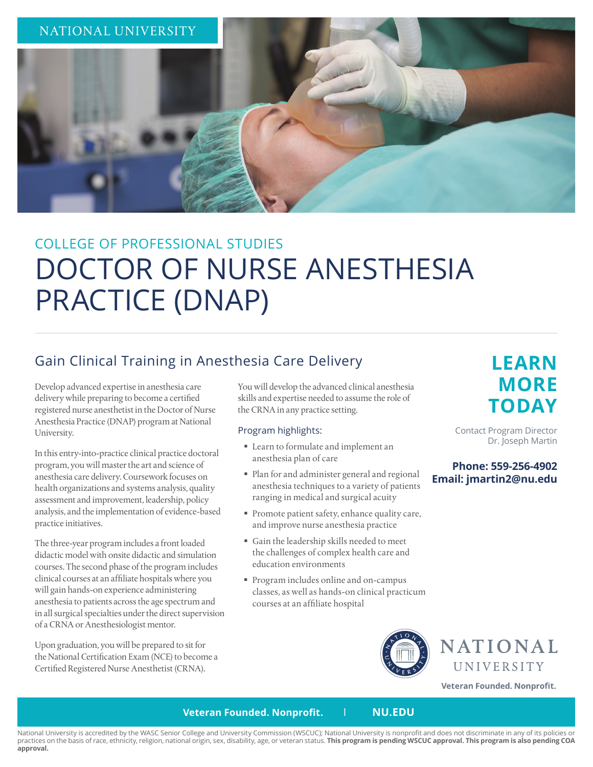

# COLLEGE OF PROFESSIONAL STUDIES DOCTOR OF NURSE ANESTHESIA PRACTICE (DNAP)

## Gain Clinical Training in Anesthesia Care Delivery

Develop advanced expertise in anesthesia care delivery while preparing to become a certified registered nurse anesthetist in the Doctor of Nurse Anesthesia Practice (DNAP) program at National University.

In this entry-into-practice clinical practice doctoral program, you will master the art and science of anesthesia care delivery. Coursework focuses on health organizations and systems analysis, quality assessment and improvement, leadership, policy analysis, and the implementation of evidence-based practice initiatives.

The three-year program includes a front loaded didactic model with onsite didactic and simulation courses. The second phase of the program includes clinical courses at an affiliate hospitals where you will gain hands-on experience administering anesthesia to patients across the age spectrum and in all surgical specialties under the direct supervision of a CRNA or Anesthesiologist mentor.

Upon graduation, you will be prepared to sit for the National Certification Exam (NCE) to become a Certified Registered Nurse Anesthetist (CRNA).

You will develop the advanced clinical anesthesia skills and expertise needed to assume the role of the CRNA in any practice setting.

## Program highlights:

- Learn to formulate and implement an anesthesia plan of care
- Plan for and administer general and regional anesthesia techniques to a variety of patients ranging in medical and surgical acuity
- Promote patient safety, enhance quality care, and improve nurse anesthesia practice
- Gain the leadership skills needed to meet the challenges of complex health care and education environments
- Program includes online and on-campus classes, as well as hands-on clinical practicum courses at an affiliate hospital

## **LEARN MORE TODAY**

Contact Program Director Dr. Joseph Martin

## **Phone: 559-256-4902 Email: jmartin2@nu.edu**





Veteran Founded. Nonprofit.

## **Veteran Founded. Nonprofit.** I **NU.EDU**

National University is accredited by the WASC Senior College and University Commission (WSCUC); National University is nonprofit and does not discriminate in any of its policies or practices on the basis of race, ethnicity, religion, national origin, sex, disability, age, or veteran status. **This program is pending WSCUC approval. This program is also pending COA approval.**